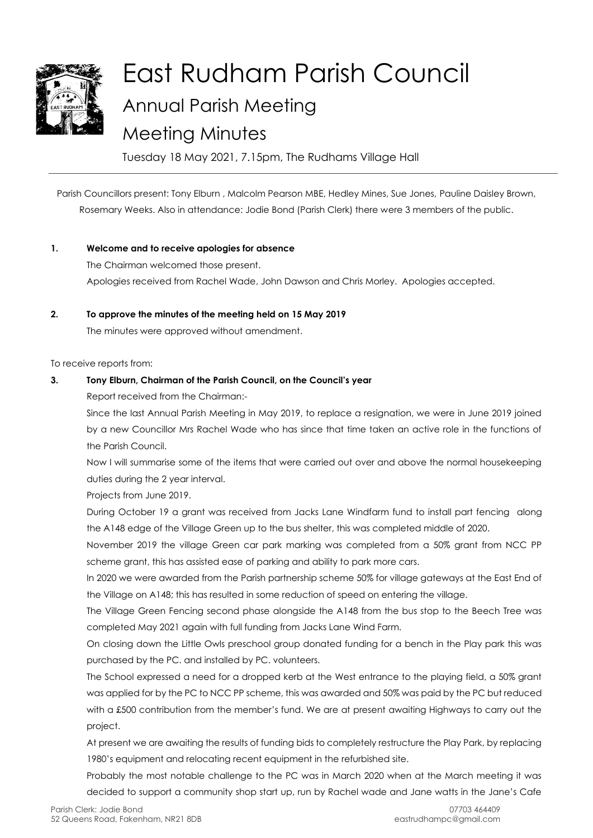

# East Rudham Parish Council Annual Parish Meeting Meeting Minutes

Tuesday 18 May 2021, 7.15pm, The Rudhams Village Hall

Parish Councillors present: Tony Elburn , Malcolm Pearson MBE, Hedley Mines, Sue Jones, Pauline Daisley Brown, Rosemary Weeks. Also in attendance: Jodie Bond (Parish Clerk) there were 3 members of the public.

## **1. Welcome and to receive apologies for absence**

The Chairman welcomed those present. Apologies received from Rachel Wade, John Dawson and Chris Morley. Apologies accepted.

#### **2. To approve the minutes of the meeting held on 15 May 2019**

The minutes were approved without amendment.

To receive reports from:

## **3. Tony Elburn, Chairman of the Parish Council, on the Council's year**

Report received from the Chairman:-

Since the last Annual Parish Meeting in May 2019, to replace a resignation, we were in June 2019 joined by a new Councillor Mrs Rachel Wade who has since that time taken an active role in the functions of the Parish Council.

Now I will summarise some of the items that were carried out over and above the normal housekeeping duties during the 2 year interval.

Projects from June 2019.

During October 19 a grant was received from Jacks Lane Windfarm fund to install part fencing along the A148 edge of the Village Green up to the bus shelter, this was completed middle of 2020.

November 2019 the village Green car park marking was completed from a 50% grant from NCC PP scheme grant, this has assisted ease of parking and ability to park more cars.

In 2020 we were awarded from the Parish partnership scheme 50% for village gateways at the East End of the Village on A148; this has resulted in some reduction of speed on entering the village.

The Village Green Fencing second phase alongside the A148 from the bus stop to the Beech Tree was completed May 2021 again with full funding from Jacks Lane Wind Farm.

On closing down the Little Owls preschool group donated funding for a bench in the Play park this was purchased by the PC. and installed by PC. volunteers.

The School expressed a need for a dropped kerb at the West entrance to the playing field, a 50% grant was applied for by the PC to NCC PP scheme, this was awarded and 50% was paid by the PC but reduced with a £500 contribution from the member's fund. We are at present awaiting Highways to carry out the project.

At present we are awaiting the results of funding bids to completely restructure the Play Park, by replacing 1980's equipment and relocating recent equipment in the refurbished site.

Probably the most notable challenge to the PC was in March 2020 when at the March meeting it was decided to support a community shop start up, run by Rachel wade and Jane watts in the Jane's Cafe